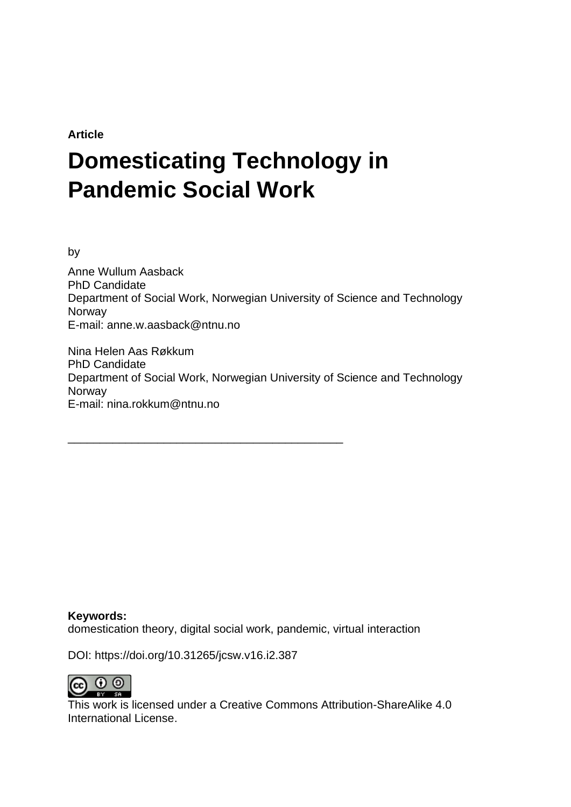**Article**

# **Domesticating Technology in Pandemic Social Work**

by

Anne Wullum Aasback PhD Candidate Department of Social Work, Norwegian University of Science and Technology Norway E-mail: anne.w.aasback@ntnu.no

Nina Helen Aas Røkkum PhD Candidate Department of Social Work, Norwegian University of Science and Technology **Norway** E-mail: nina.rokkum@ntnu.no

**Keywords:** domestication theory, digital social work, pandemic, virtual interaction

DOI: https://doi.org/10.31265/jcsw.v16.i2.387

\_\_\_\_\_\_\_\_\_\_\_\_\_\_\_\_\_\_\_\_\_\_\_\_\_\_\_\_\_\_\_\_\_\_\_\_\_\_\_\_\_\_\_



This work is licensed under a Creative Commons Attribution-ShareAlike 4.0 International License.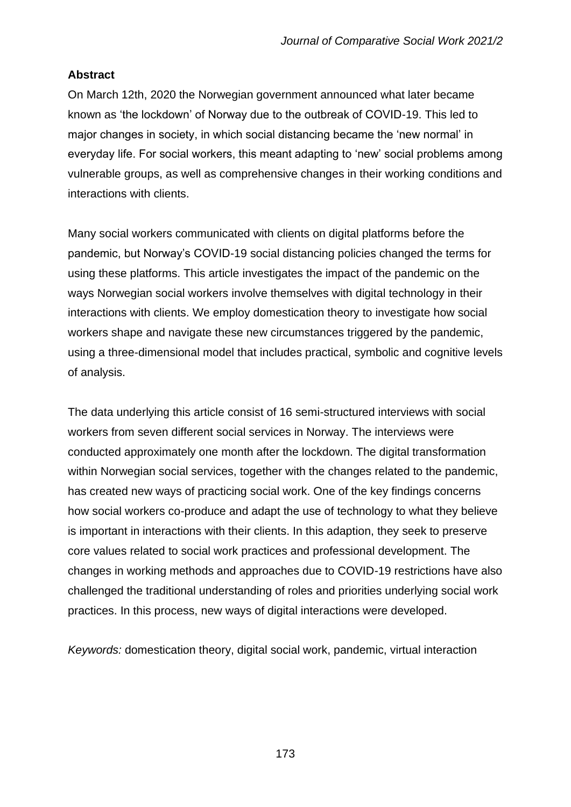# **Abstract**

On March 12th, 2020 the Norwegian government announced what later became known as 'the lockdown' of Norway due to the outbreak of COVID-19. This led to major changes in society, in which social distancing became the 'new normal' in everyday life. For social workers, this meant adapting to 'new' social problems among vulnerable groups, as well as comprehensive changes in their working conditions and interactions with clients.

Many social workers communicated with clients on digital platforms before the pandemic, but Norway's COVID-19 social distancing policies changed the terms for using these platforms. This article investigates the impact of the pandemic on the ways Norwegian social workers involve themselves with digital technology in their interactions with clients. We employ domestication theory to investigate how social workers shape and navigate these new circumstances triggered by the pandemic, using a three-dimensional model that includes practical, symbolic and cognitive levels of analysis.

The data underlying this article consist of 16 semi-structured interviews with social workers from seven different social services in Norway. The interviews were conducted approximately one month after the lockdown. The digital transformation within Norwegian social services, together with the changes related to the pandemic, has created new ways of practicing social work. One of the key findings concerns how social workers co-produce and adapt the use of technology to what they believe is important in interactions with their clients. In this adaption, they seek to preserve core values related to social work practices and professional development. The changes in working methods and approaches due to COVID-19 restrictions have also challenged the traditional understanding of roles and priorities underlying social work practices. In this process, new ways of digital interactions were developed.

*Keywords:* domestication theory, digital social work, pandemic, virtual interaction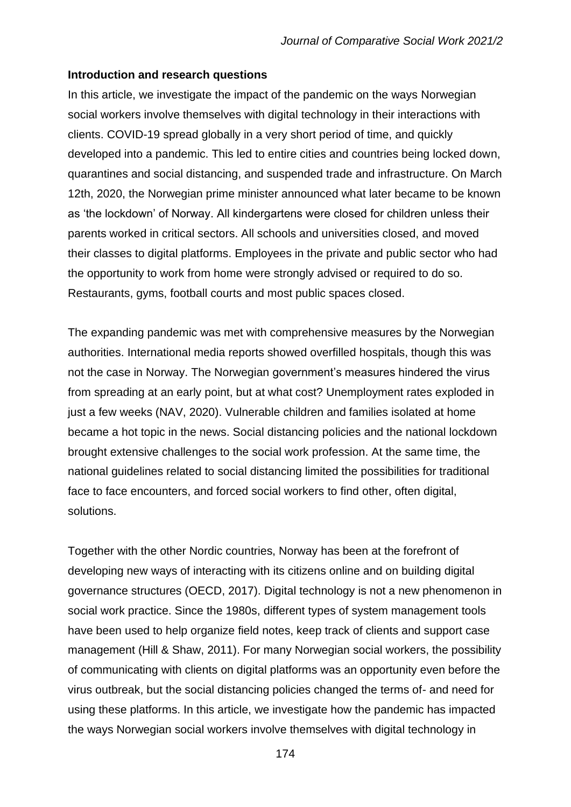#### **Introduction and research questions**

In this article, we investigate the impact of the pandemic on the ways Norwegian social workers involve themselves with digital technology in their interactions with clients. COVID-19 spread globally in a very short period of time, and quickly developed into a pandemic. This led to entire cities and countries being locked down, quarantines and social distancing, and suspended trade and infrastructure. On March 12th, 2020, the Norwegian prime minister announced what later became to be known as 'the lockdown' of Norway. All kindergartens were closed for children unless their parents worked in critical sectors. All schools and universities closed, and moved their classes to digital platforms. Employees in the private and public sector who had the opportunity to work from home were strongly advised or required to do so. Restaurants, gyms, football courts and most public spaces closed.

The expanding pandemic was met with comprehensive measures by the Norwegian authorities. International media reports showed overfilled hospitals, though this was not the case in Norway. The Norwegian government's measures hindered the virus from spreading at an early point, but at what cost? Unemployment rates exploded in just a few weeks (NAV, 2020). Vulnerable children and families isolated at home became a hot topic in the news. Social distancing policies and the national lockdown brought extensive challenges to the social work profession. At the same time, the national guidelines related to social distancing limited the possibilities for traditional face to face encounters, and forced social workers to find other, often digital, solutions.

Together with the other Nordic countries, Norway has been at the forefront of developing new ways of interacting with its citizens online and on building digital governance structures (OECD, 2017). Digital technology is not a new phenomenon in social work practice. Since the 1980s, different types of system management tools have been used to help organize field notes, keep track of clients and support case management (Hill & Shaw, 2011). For many Norwegian social workers, the possibility of communicating with clients on digital platforms was an opportunity even before the virus outbreak, but the social distancing policies changed the terms of- and need for using these platforms. In this article, we investigate how the pandemic has impacted the ways Norwegian social workers involve themselves with digital technology in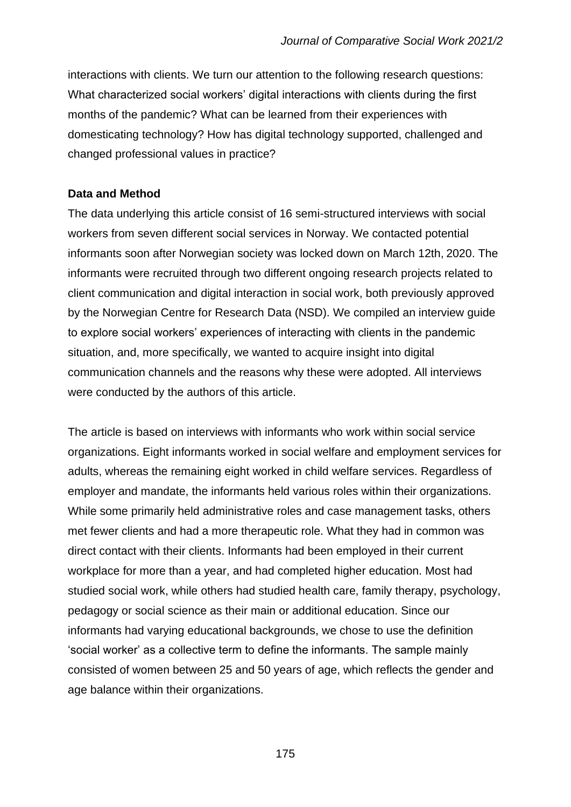interactions with clients. We turn our attention to the following research questions: What characterized social workers' digital interactions with clients during the first months of the pandemic? What can be learned from their experiences with domesticating technology? How has digital technology supported, challenged and changed professional values in practice?

## **Data and Method**

The data underlying this article consist of 16 semi-structured interviews with social workers from seven different social services in Norway. We contacted potential informants soon after Norwegian society was locked down on March 12th, 2020. The informants were recruited through two different ongoing research projects related to client communication and digital interaction in social work, both previously approved by the Norwegian Centre for Research Data (NSD). We compiled an interview guide to explore social workers' experiences of interacting with clients in the pandemic situation, and, more specifically, we wanted to acquire insight into digital communication channels and the reasons why these were adopted. All interviews were conducted by the authors of this article.

The article is based on interviews with informants who work within social service organizations. Eight informants worked in social welfare and employment services for adults, whereas the remaining eight worked in child welfare services. Regardless of employer and mandate, the informants held various roles within their organizations. While some primarily held administrative roles and case management tasks, others met fewer clients and had a more therapeutic role. What they had in common was direct contact with their clients. Informants had been employed in their current workplace for more than a year, and had completed higher education. Most had studied social work, while others had studied health care, family therapy, psychology, pedagogy or social science as their main or additional education. Since our informants had varying educational backgrounds, we chose to use the definition 'social worker' as a collective term to define the informants. The sample mainly consisted of women between 25 and 50 years of age, which reflects the gender and age balance within their organizations.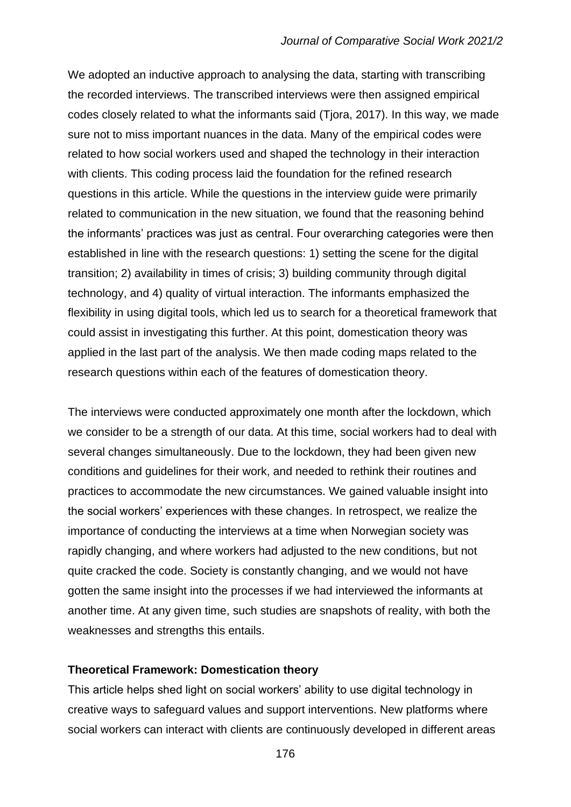We adopted an inductive approach to analysing the data, starting with transcribing the recorded interviews. The transcribed interviews were then assigned empirical codes closely related to what the informants said (Tjora, 2017). In this way, we made sure not to miss important nuances in the data. Many of the empirical codes were related to how social workers used and shaped the technology in their interaction with clients. This coding process laid the foundation for the refined research questions in this article. While the questions in the interview guide were primarily related to communication in the new situation, we found that the reasoning behind the informants' practices was just as central. Four overarching categories were then established in line with the research questions: 1) setting the scene for the digital transition; 2) availability in times of crisis; 3) building community through digital technology, and 4) quality of virtual interaction. The informants emphasized the flexibility in using digital tools, which led us to search for a theoretical framework that could assist in investigating this further. At this point, domestication theory was applied in the last part of the analysis. We then made coding maps related to the research questions within each of the features of domestication theory.

The interviews were conducted approximately one month after the lockdown, which we consider to be a strength of our data. At this time, social workers had to deal with several changes simultaneously. Due to the lockdown, they had been given new conditions and guidelines for their work, and needed to rethink their routines and practices to accommodate the new circumstances. We gained valuable insight into the social workers' experiences with these changes. In retrospect, we realize the importance of conducting the interviews at a time when Norwegian society was rapidly changing, and where workers had adjusted to the new conditions, but not quite cracked the code. Society is constantly changing, and we would not have gotten the same insight into the processes if we had interviewed the informants at another time. At any given time, such studies are snapshots of reality, with both the weaknesses and strengths this entails.

#### **Theoretical Framework: Domestication theory**

This article helps shed light on social workers' ability to use digital technology in creative ways to safeguard values and support interventions. New platforms where social workers can interact with clients are continuously developed in different areas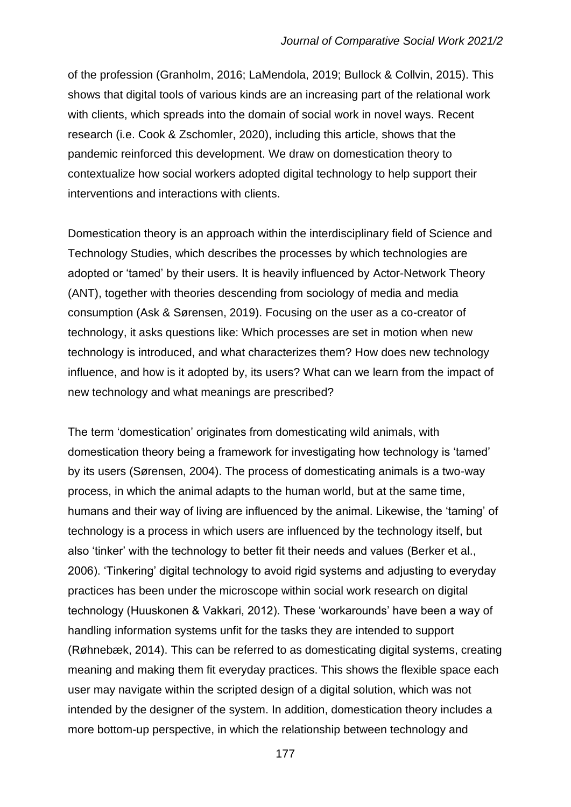of the profession (Granholm, 2016; LaMendola, 2019; Bullock & Collvin, 2015). This shows that digital tools of various kinds are an increasing part of the relational work with clients, which spreads into the domain of social work in novel ways. Recent research (i.e. Cook & Zschomler, 2020), including this article, shows that the pandemic reinforced this development. We draw on domestication theory to contextualize how social workers adopted digital technology to help support their interventions and interactions with clients.

Domestication theory is an approach within the interdisciplinary field of Science and Technology Studies, which describes the processes by which technologies are adopted or 'tamed' by their users. It is heavily influenced by Actor-Network Theory (ANT), together with theories descending from sociology of media and media consumption (Ask & Sørensen, 2019). Focusing on the user as a co-creator of technology, it asks questions like: Which processes are set in motion when new technology is introduced, and what characterizes them? How does new technology influence, and how is it adopted by, its users? What can we learn from the impact of new technology and what meanings are prescribed?

The term 'domestication' originates from domesticating wild animals, with domestication theory being a framework for investigating how technology is 'tamed' by its users (Sørensen, 2004). The process of domesticating animals is a two-way process, in which the animal adapts to the human world, but at the same time, humans and their way of living are influenced by the animal. Likewise, the 'taming' of technology is a process in which users are influenced by the technology itself, but also 'tinker' with the technology to better fit their needs and values (Berker et al., 2006). 'Tinkering' digital technology to avoid rigid systems and adjusting to everyday practices has been under the microscope within social work research on digital technology (Huuskonen & Vakkari, 2012). These 'workarounds' have been a way of handling information systems unfit for the tasks they are intended to support (Røhnebæk, 2014). This can be referred to as domesticating digital systems, creating meaning and making them fit everyday practices. This shows the flexible space each user may navigate within the scripted design of a digital solution, which was not intended by the designer of the system. In addition, domestication theory includes a more bottom-up perspective, in which the relationship between technology and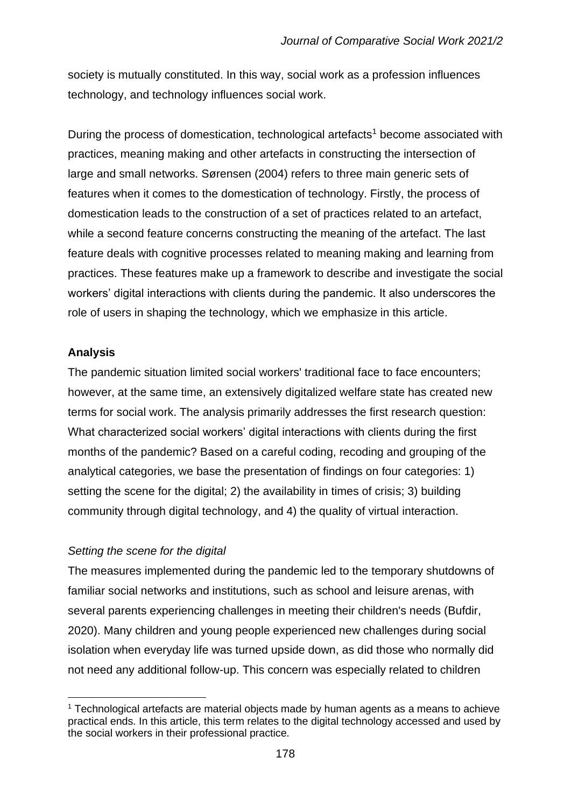society is mutually constituted. In this way, social work as a profession influences technology, and technology influences social work.

During the process of domestication, technological artefacts<sup>1</sup> become associated with practices, meaning making and other artefacts in constructing the intersection of large and small networks. Sørensen (2004) refers to three main generic sets of features when it comes to the domestication of technology. Firstly, the process of domestication leads to the construction of a set of practices related to an artefact, while a second feature concerns constructing the meaning of the artefact. The last feature deals with cognitive processes related to meaning making and learning from practices. These features make up a framework to describe and investigate the social workers' digital interactions with clients during the pandemic. It also underscores the role of users in shaping the technology, which we emphasize in this article.

## **Analysis**

The pandemic situation limited social workers' traditional face to face encounters; however, at the same time, an extensively digitalized welfare state has created new terms for social work. The analysis primarily addresses the first research question: What characterized social workers' digital interactions with clients during the first months of the pandemic? Based on a careful coding, recoding and grouping of the analytical categories, we base the presentation of findings on four categories: 1) setting the scene for the digital; 2) the availability in times of crisis; 3) building community through digital technology, and 4) the quality of virtual interaction.

# *Setting the scene for the digital*

The measures implemented during the pandemic led to the temporary shutdowns of familiar social networks and institutions, such as school and leisure arenas, with several parents experiencing challenges in meeting their children's needs (Bufdir, 2020). Many children and young people experienced new challenges during social isolation when everyday life was turned upside down, as did those who normally did not need any additional follow-up. This concern was especially related to children

 $1$  Technological artefacts are material objects made by human agents as a means to achieve practical ends. In this article, this term relates to the digital technology accessed and used by the social workers in their professional practice.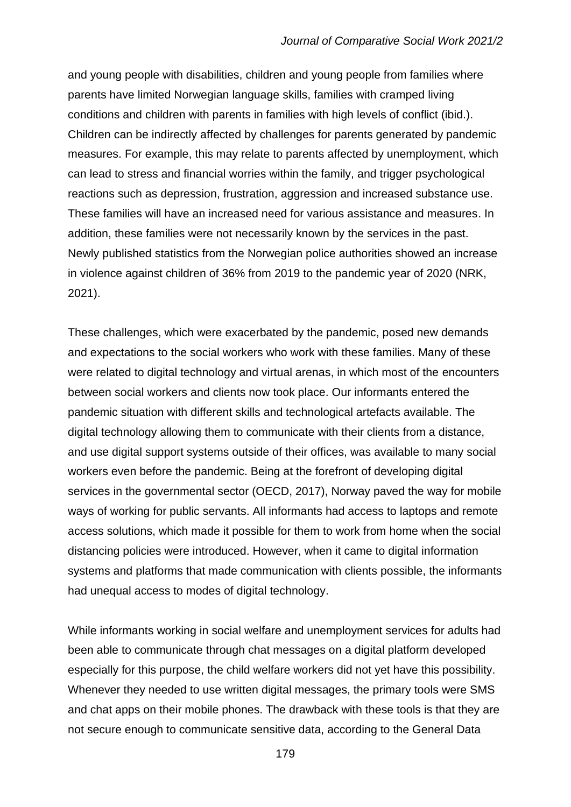and young people with disabilities, children and young people from families where parents have limited Norwegian language skills, families with cramped living conditions and children with parents in families with high levels of conflict (ibid.). Children can be indirectly affected by challenges for parents generated by pandemic measures. For example, this may relate to parents affected by unemployment, which can lead to stress and financial worries within the family, and trigger psychological reactions such as depression, frustration, aggression and increased substance use. These families will have an increased need for various assistance and measures. In addition, these families were not necessarily known by the services in the past. Newly published statistics from the Norwegian police authorities showed an increase in violence against children of 36% from 2019 to the pandemic year of 2020 (NRK, 2021).

These challenges, which were exacerbated by the pandemic, posed new demands and expectations to the social workers who work with these families. Many of these were related to digital technology and virtual arenas, in which most of the encounters between social workers and clients now took place. Our informants entered the pandemic situation with different skills and technological artefacts available. The digital technology allowing them to communicate with their clients from a distance, and use digital support systems outside of their offices, was available to many social workers even before the pandemic. Being at the forefront of developing digital services in the governmental sector (OECD, 2017), Norway paved the way for mobile ways of working for public servants. All informants had access to laptops and remote access solutions, which made it possible for them to work from home when the social distancing policies were introduced. However, when it came to digital information systems and platforms that made communication with clients possible, the informants had unequal access to modes of digital technology.

While informants working in social welfare and unemployment services for adults had been able to communicate through chat messages on a digital platform developed especially for this purpose, the child welfare workers did not yet have this possibility. Whenever they needed to use written digital messages, the primary tools were SMS and chat apps on their mobile phones. The drawback with these tools is that they are not secure enough to communicate sensitive data, according to the General Data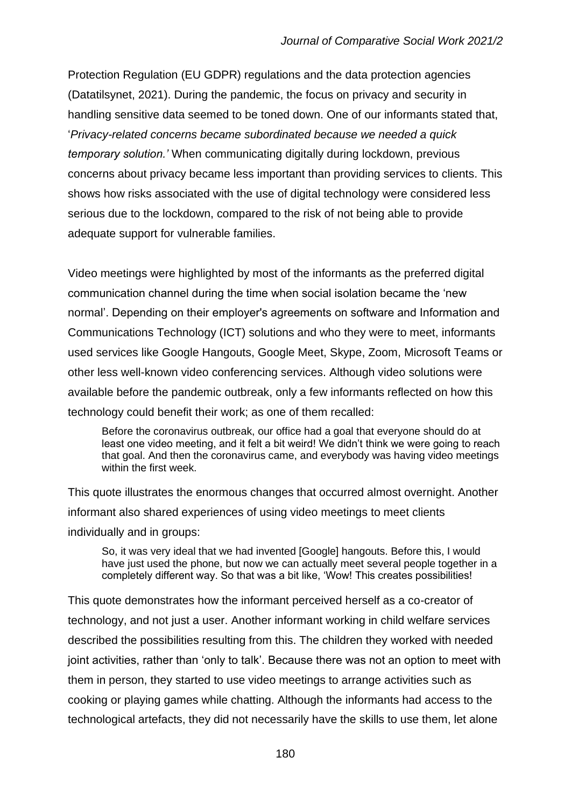Protection Regulation (EU GDPR) regulations and the data protection agencies (Datatilsynet, 2021). During the pandemic, the focus on privacy and security in handling sensitive data seemed to be toned down. One of our informants stated that, '*Privacy-related concerns became subordinated because we needed a quick temporary solution.'* When communicating digitally during lockdown, previous concerns about privacy became less important than providing services to clients. This shows how risks associated with the use of digital technology were considered less serious due to the lockdown, compared to the risk of not being able to provide adequate support for vulnerable families.

Video meetings were highlighted by most of the informants as the preferred digital communication channel during the time when social isolation became the 'new normal'. Depending on their employer's agreements on software and Information and Communications Technology (ICT) solutions and who they were to meet, informants used services like Google Hangouts, Google Meet, Skype, Zoom, Microsoft Teams or other less well-known video conferencing services. Although video solutions were available before the pandemic outbreak, only a few informants reflected on how this technology could benefit their work; as one of them recalled:

Before the coronavirus outbreak, our office had a goal that everyone should do at least one video meeting, and it felt a bit weird! We didn't think we were going to reach that goal. And then the coronavirus came, and everybody was having video meetings within the first week.

This quote illustrates the enormous changes that occurred almost overnight. Another informant also shared experiences of using video meetings to meet clients individually and in groups:

So, it was very ideal that we had invented [Google] hangouts. Before this, I would have just used the phone, but now we can actually meet several people together in a completely different way. So that was a bit like, 'Wow! This creates possibilities!

This quote demonstrates how the informant perceived herself as a co-creator of technology, and not just a user. Another informant working in child welfare services described the possibilities resulting from this. The children they worked with needed joint activities, rather than 'only to talk'. Because there was not an option to meet with them in person, they started to use video meetings to arrange activities such as cooking or playing games while chatting. Although the informants had access to the technological artefacts, they did not necessarily have the skills to use them, let alone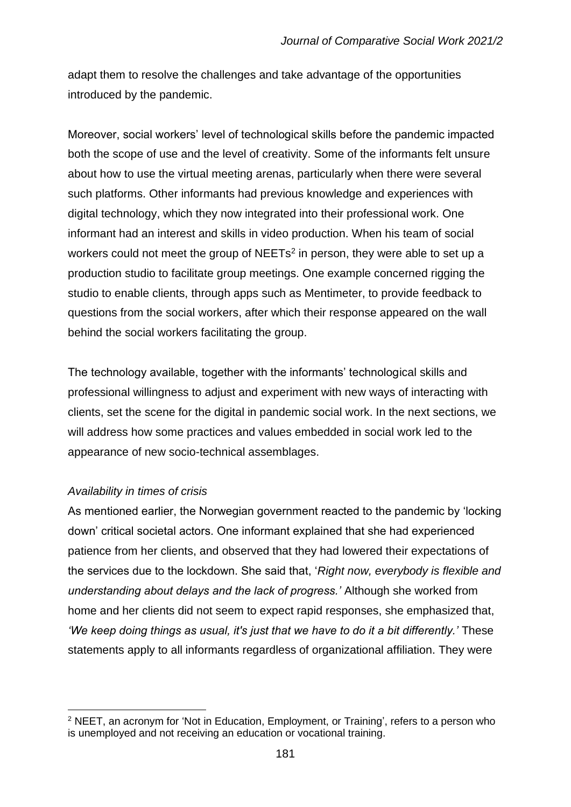adapt them to resolve the challenges and take advantage of the opportunities introduced by the pandemic.

Moreover, social workers' level of technological skills before the pandemic impacted both the scope of use and the level of creativity. Some of the informants felt unsure about how to use the virtual meeting arenas, particularly when there were several such platforms. Other informants had previous knowledge and experiences with digital technology, which they now integrated into their professional work. One informant had an interest and skills in video production. When his team of social workers could not meet the group of  $NEETS<sup>2</sup>$  in person, they were able to set up a production studio to facilitate group meetings. One example concerned rigging the studio to enable clients, through apps such as Mentimeter, to provide feedback to questions from the social workers, after which their response appeared on the wall behind the social workers facilitating the group.

The technology available, together with the informants' technological skills and professional willingness to adjust and experiment with new ways of interacting with clients, set the scene for the digital in pandemic social work. In the next sections, we will address how some practices and values embedded in social work led to the appearance of new socio-technical assemblages.

# *Availability in times of crisis*

As mentioned earlier, the Norwegian government reacted to the pandemic by 'locking down' critical societal actors. One informant explained that she had experienced patience from her clients, and observed that they had lowered their expectations of the services due to the lockdown. She said that, '*Right now, everybody is flexible and understanding about delays and the lack of progress.'* Although she worked from home and her clients did not seem to expect rapid responses, she emphasized that, *'We keep doing things as usual, it's just that we have to do it a bit differently.'* These statements apply to all informants regardless of organizational affiliation. They were

<sup>2</sup> NEET, an acronym for 'Not in Education, Employment, or Training', refers to a person who is unemployed and not receiving an education or vocational training.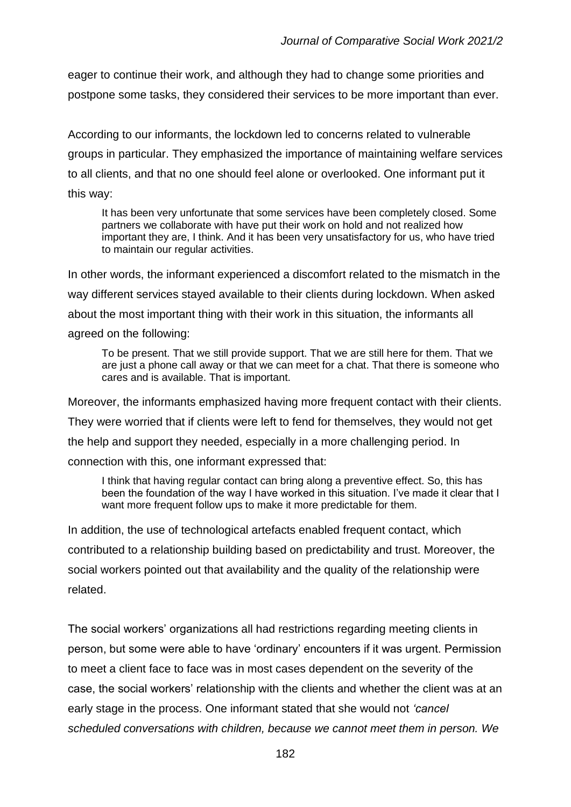eager to continue their work, and although they had to change some priorities and postpone some tasks, they considered their services to be more important than ever.

According to our informants, the lockdown led to concerns related to vulnerable groups in particular. They emphasized the importance of maintaining welfare services to all clients, and that no one should feel alone or overlooked. One informant put it this way:

It has been very unfortunate that some services have been completely closed. Some partners we collaborate with have put their work on hold and not realized how important they are, I think. And it has been very unsatisfactory for us, who have tried to maintain our regular activities.

In other words, the informant experienced a discomfort related to the mismatch in the way different services stayed available to their clients during lockdown. When asked about the most important thing with their work in this situation, the informants all agreed on the following:

To be present. That we still provide support. That we are still here for them. That we are just a phone call away or that we can meet for a chat. That there is someone who cares and is available. That is important.

Moreover, the informants emphasized having more frequent contact with their clients. They were worried that if clients were left to fend for themselves, they would not get the help and support they needed, especially in a more challenging period. In connection with this, one informant expressed that:

I think that having regular contact can bring along a preventive effect. So, this has been the foundation of the way I have worked in this situation. I've made it clear that I want more frequent follow ups to make it more predictable for them.

In addition, the use of technological artefacts enabled frequent contact, which contributed to a relationship building based on predictability and trust. Moreover, the social workers pointed out that availability and the quality of the relationship were related.

The social workers' organizations all had restrictions regarding meeting clients in person, but some were able to have 'ordinary' encounters if it was urgent. Permission to meet a client face to face was in most cases dependent on the severity of the case, the social workers' relationship with the clients and whether the client was at an early stage in the process. One informant stated that she would not *'cancel scheduled conversations with children, because we cannot meet them in person. We*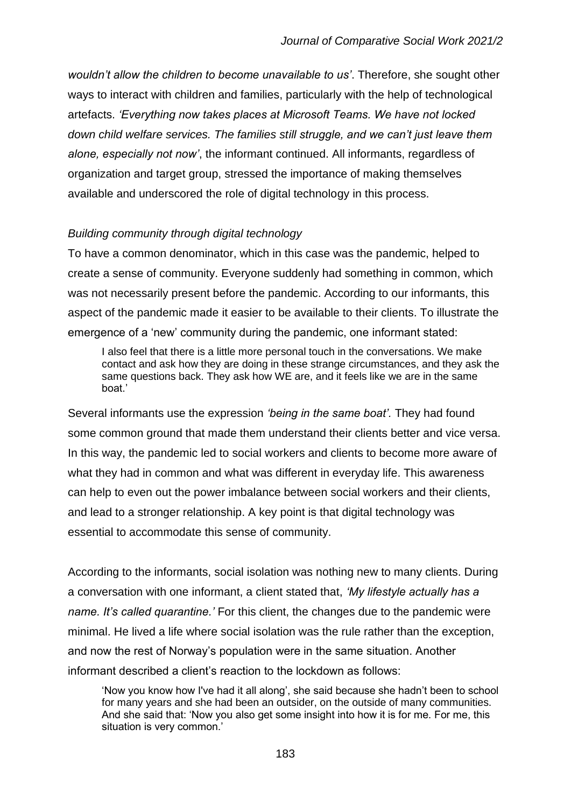*wouldn't allow the children to become unavailable to us'*. Therefore, she sought other ways to interact with children and families, particularly with the help of technological artefacts. *'Everything now takes places at Microsoft Teams. We have not locked down child welfare services. The families still struggle, and we can't just leave them alone, especially not now'*, the informant continued. All informants, regardless of organization and target group, stressed the importance of making themselves available and underscored the role of digital technology in this process.

## *Building community through digital technology*

To have a common denominator, which in this case was the pandemic, helped to create a sense of community. Everyone suddenly had something in common, which was not necessarily present before the pandemic. According to our informants, this aspect of the pandemic made it easier to be available to their clients. To illustrate the emergence of a 'new' community during the pandemic, one informant stated:

I also feel that there is a little more personal touch in the conversations. We make contact and ask how they are doing in these strange circumstances, and they ask the same questions back. They ask how WE are, and it feels like we are in the same boat.'

Several informants use the expression *'being in the same boat'.* They had found some common ground that made them understand their clients better and vice versa. In this way, the pandemic led to social workers and clients to become more aware of what they had in common and what was different in everyday life. This awareness can help to even out the power imbalance between social workers and their clients, and lead to a stronger relationship. A key point is that digital technology was essential to accommodate this sense of community.

According to the informants, social isolation was nothing new to many clients. During a conversation with one informant, a client stated that, *'My lifestyle actually has a name. It's called quarantine.'* For this client, the changes due to the pandemic were minimal. He lived a life where social isolation was the rule rather than the exception, and now the rest of Norway's population were in the same situation. Another informant described a client's reaction to the lockdown as follows:

'Now you know how I've had it all along', she said because she hadn't been to school for many years and she had been an outsider, on the outside of many communities. And she said that: 'Now you also get some insight into how it is for me. For me, this situation is very common.'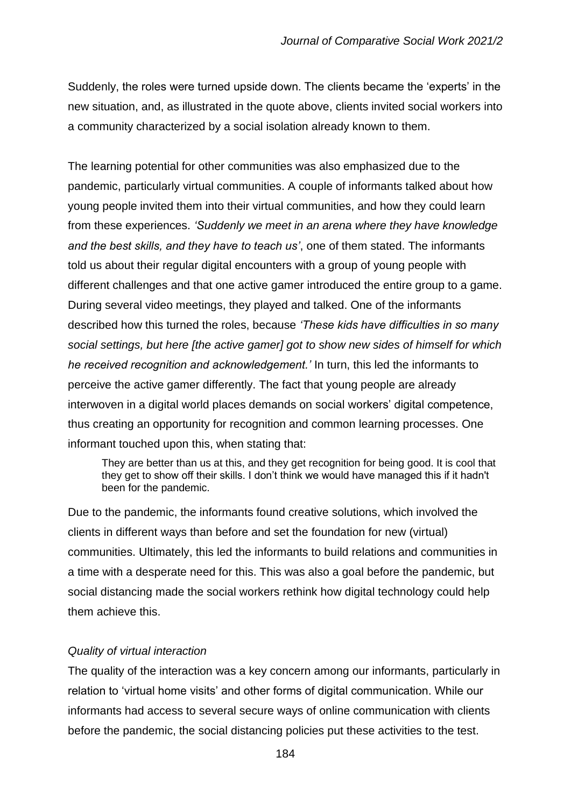Suddenly, the roles were turned upside down. The clients became the 'experts' in the new situation, and, as illustrated in the quote above, clients invited social workers into a community characterized by a social isolation already known to them.

The learning potential for other communities was also emphasized due to the pandemic, particularly virtual communities. A couple of informants talked about how young people invited them into their virtual communities, and how they could learn from these experiences. *'Suddenly we meet in an arena where they have knowledge and the best skills, and they have to teach us'*, one of them stated. The informants told us about their regular digital encounters with a group of young people with different challenges and that one active gamer introduced the entire group to a game. During several video meetings, they played and talked. One of the informants described how this turned the roles, because *'These kids have difficulties in so many social settings, but here [the active gamer] got to show new sides of himself for which he received recognition and acknowledgement.'* In turn, this led the informants to perceive the active gamer differently. The fact that young people are already interwoven in a digital world places demands on social workers' digital competence, thus creating an opportunity for recognition and common learning processes. One informant touched upon this, when stating that:

They are better than us at this, and they get recognition for being good. It is cool that they get to show off their skills. I don't think we would have managed this if it hadn't been for the pandemic.

Due to the pandemic, the informants found creative solutions, which involved the clients in different ways than before and set the foundation for new (virtual) communities. Ultimately, this led the informants to build relations and communities in a time with a desperate need for this. This was also a goal before the pandemic, but social distancing made the social workers rethink how digital technology could help them achieve this.

# *Quality of virtual interaction*

The quality of the interaction was a key concern among our informants, particularly in relation to 'virtual home visits' and other forms of digital communication. While our informants had access to several secure ways of online communication with clients before the pandemic, the social distancing policies put these activities to the test.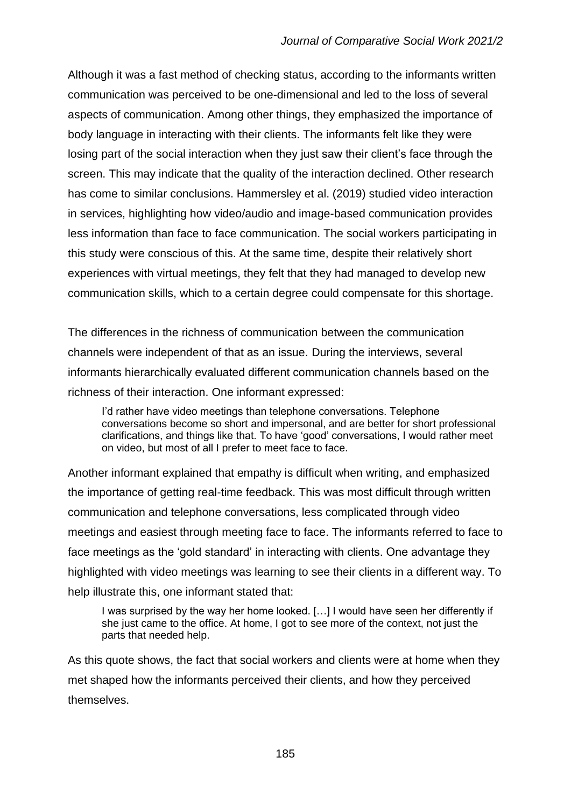Although it was a fast method of checking status, according to the informants written communication was perceived to be one-dimensional and led to the loss of several aspects of communication. Among other things, they emphasized the importance of body language in interacting with their clients. The informants felt like they were losing part of the social interaction when they just saw their client's face through the screen. This may indicate that the quality of the interaction declined. Other research has come to similar conclusions. Hammersley et al. (2019) studied video interaction in services, highlighting how video/audio and image-based communication provides less information than face to face communication. The social workers participating in this study were conscious of this. At the same time, despite their relatively short experiences with virtual meetings, they felt that they had managed to develop new communication skills, which to a certain degree could compensate for this shortage.

The differences in the richness of communication between the communication channels were independent of that as an issue. During the interviews, several informants hierarchically evaluated different communication channels based on the richness of their interaction. One informant expressed:

I'd rather have video meetings than telephone conversations. Telephone conversations become so short and impersonal, and are better for short professional clarifications, and things like that. To have 'good' conversations, I would rather meet on video, but most of all I prefer to meet face to face.

Another informant explained that empathy is difficult when writing, and emphasized the importance of getting real-time feedback. This was most difficult through written communication and telephone conversations, less complicated through video meetings and easiest through meeting face to face. The informants referred to face to face meetings as the 'gold standard' in interacting with clients. One advantage they highlighted with video meetings was learning to see their clients in a different way. To help illustrate this, one informant stated that:

I was surprised by the way her home looked. […] I would have seen her differently if she just came to the office. At home, I got to see more of the context, not just the parts that needed help.

As this quote shows, the fact that social workers and clients were at home when they met shaped how the informants perceived their clients, and how they perceived themselves.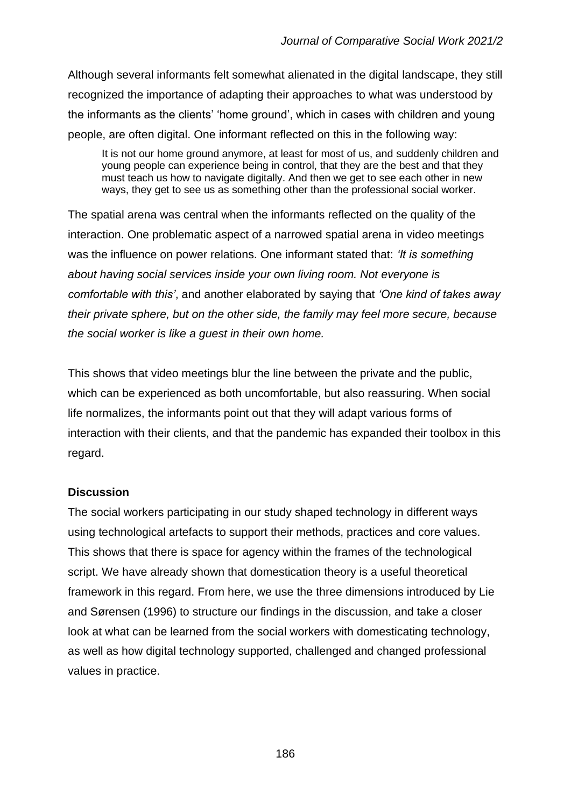Although several informants felt somewhat alienated in the digital landscape, they still recognized the importance of adapting their approaches to what was understood by the informants as the clients' 'home ground', which in cases with children and young people, are often digital. One informant reflected on this in the following way:

It is not our home ground anymore, at least for most of us, and suddenly children and young people can experience being in control, that they are the best and that they must teach us how to navigate digitally. And then we get to see each other in new ways, they get to see us as something other than the professional social worker.

The spatial arena was central when the informants reflected on the quality of the interaction. One problematic aspect of a narrowed spatial arena in video meetings was the influence on power relations. One informant stated that: *'It is something about having social services inside your own living room. Not everyone is comfortable with this'*, and another elaborated by saying that *'One kind of takes away their private sphere, but on the other side, the family may feel more secure, because the social worker is like a guest in their own home.*

This shows that video meetings blur the line between the private and the public, which can be experienced as both uncomfortable, but also reassuring. When social life normalizes, the informants point out that they will adapt various forms of interaction with their clients, and that the pandemic has expanded their toolbox in this regard.

# **Discussion**

The social workers participating in our study shaped technology in different ways using technological artefacts to support their methods, practices and core values. This shows that there is space for agency within the frames of the technological script. We have already shown that domestication theory is a useful theoretical framework in this regard. From here, we use the three dimensions introduced by Lie and Sørensen (1996) to structure our findings in the discussion, and take a closer look at what can be learned from the social workers with domesticating technology, as well as how digital technology supported, challenged and changed professional values in practice.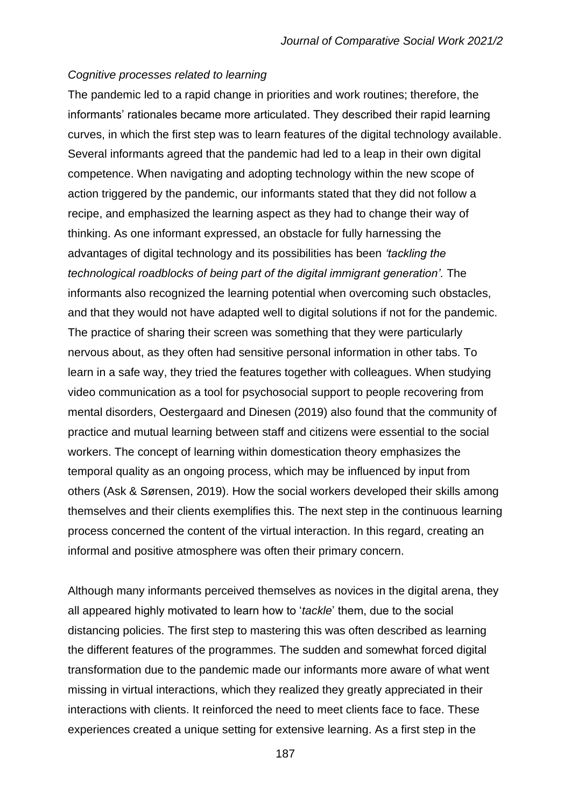#### *Cognitive processes related to learning*

The pandemic led to a rapid change in priorities and work routines; therefore, the informants' rationales became more articulated. They described their rapid learning curves, in which the first step was to learn features of the digital technology available. Several informants agreed that the pandemic had led to a leap in their own digital competence. When navigating and adopting technology within the new scope of action triggered by the pandemic, our informants stated that they did not follow a recipe, and emphasized the learning aspect as they had to change their way of thinking. As one informant expressed, an obstacle for fully harnessing the advantages of digital technology and its possibilities has been *'tackling the technological roadblocks of being part of the digital immigrant generation'.* The informants also recognized the learning potential when overcoming such obstacles, and that they would not have adapted well to digital solutions if not for the pandemic. The practice of sharing their screen was something that they were particularly nervous about, as they often had sensitive personal information in other tabs. To learn in a safe way, they tried the features together with colleagues. When studying video communication as a tool for psychosocial support to people recovering from mental disorders, Oestergaard and Dinesen (2019) also found that the community of practice and mutual learning between staff and citizens were essential to the social workers. The concept of learning within domestication theory emphasizes the temporal quality as an ongoing process, which may be influenced by input from others (Ask & Sørensen, 2019). How the social workers developed their skills among themselves and their clients exemplifies this. The next step in the continuous learning process concerned the content of the virtual interaction. In this regard, creating an informal and positive atmosphere was often their primary concern.

Although many informants perceived themselves as novices in the digital arena, they all appeared highly motivated to learn how to '*tackle*' them, due to the social distancing policies. The first step to mastering this was often described as learning the different features of the programmes. The sudden and somewhat forced digital transformation due to the pandemic made our informants more aware of what went missing in virtual interactions, which they realized they greatly appreciated in their interactions with clients. It reinforced the need to meet clients face to face. These experiences created a unique setting for extensive learning. As a first step in the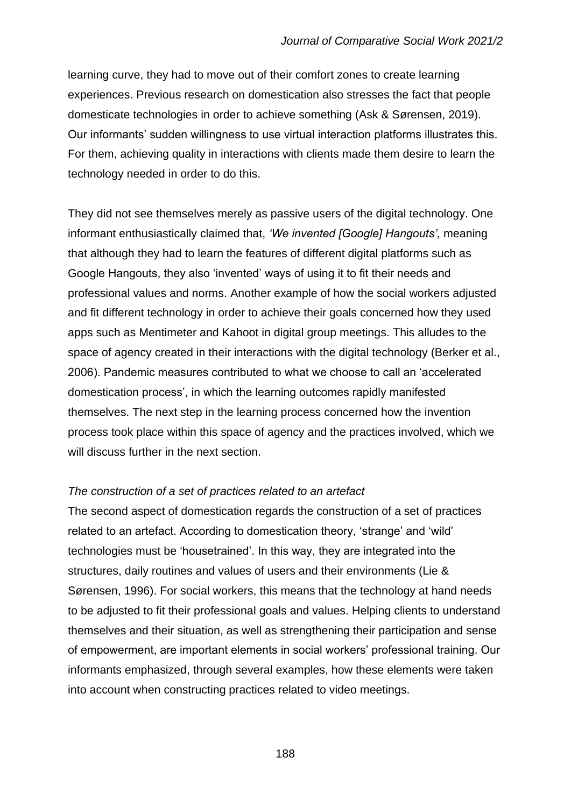learning curve, they had to move out of their comfort zones to create learning experiences. Previous research on domestication also stresses the fact that people domesticate technologies in order to achieve something (Ask & Sørensen, 2019). Our informants' sudden willingness to use virtual interaction platforms illustrates this. For them, achieving quality in interactions with clients made them desire to learn the technology needed in order to do this.

They did not see themselves merely as passive users of the digital technology. One informant enthusiastically claimed that, *'We invented [Google] Hangouts',* meaning that although they had to learn the features of different digital platforms such as Google Hangouts, they also 'invented' ways of using it to fit their needs and professional values and norms. Another example of how the social workers adjusted and fit different technology in order to achieve their goals concerned how they used apps such as Mentimeter and Kahoot in digital group meetings. This alludes to the space of agency created in their interactions with the digital technology (Berker et al., 2006). Pandemic measures contributed to what we choose to call an 'accelerated domestication process', in which the learning outcomes rapidly manifested themselves. The next step in the learning process concerned how the invention process took place within this space of agency and the practices involved, which we will discuss further in the next section.

#### *The construction of a set of practices related to an artefact*

The second aspect of domestication regards the construction of a set of practices related to an artefact. According to domestication theory, 'strange' and 'wild' technologies must be 'housetrained'. In this way, they are integrated into the structures, daily routines and values of users and their environments (Lie & Sørensen, 1996). For social workers, this means that the technology at hand needs to be adjusted to fit their professional goals and values. Helping clients to understand themselves and their situation, as well as strengthening their participation and sense of empowerment, are important elements in social workers' professional training. Our informants emphasized, through several examples, how these elements were taken into account when constructing practices related to video meetings.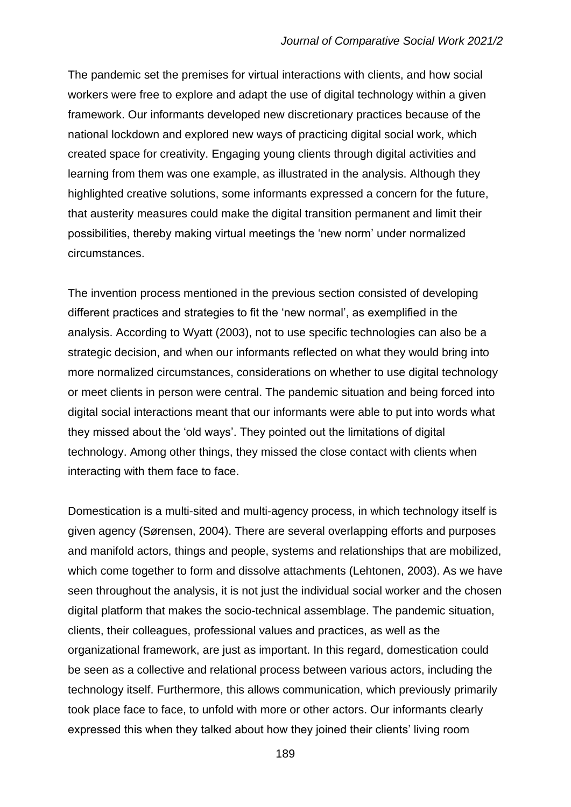The pandemic set the premises for virtual interactions with clients, and how social workers were free to explore and adapt the use of digital technology within a given framework. Our informants developed new discretionary practices because of the national lockdown and explored new ways of practicing digital social work, which created space for creativity. Engaging young clients through digital activities and learning from them was one example, as illustrated in the analysis. Although they highlighted creative solutions, some informants expressed a concern for the future, that austerity measures could make the digital transition permanent and limit their possibilities, thereby making virtual meetings the 'new norm' under normalized circumstances.

The invention process mentioned in the previous section consisted of developing different practices and strategies to fit the 'new normal', as exemplified in the analysis. According to Wyatt (2003), not to use specific technologies can also be a strategic decision, and when our informants reflected on what they would bring into more normalized circumstances, considerations on whether to use digital technology or meet clients in person were central. The pandemic situation and being forced into digital social interactions meant that our informants were able to put into words what they missed about the 'old ways'. They pointed out the limitations of digital technology. Among other things, they missed the close contact with clients when interacting with them face to face.

Domestication is a multi-sited and multi-agency process, in which technology itself is given agency (Sørensen, 2004). There are several overlapping efforts and purposes and manifold actors, things and people, systems and relationships that are mobilized, which come together to form and dissolve attachments (Lehtonen, 2003). As we have seen throughout the analysis, it is not just the individual social worker and the chosen digital platform that makes the socio-technical assemblage. The pandemic situation, clients, their colleagues, professional values and practices, as well as the organizational framework, are just as important. In this regard, domestication could be seen as a collective and relational process between various actors, including the technology itself. Furthermore, this allows communication, which previously primarily took place face to face, to unfold with more or other actors. Our informants clearly expressed this when they talked about how they joined their clients' living room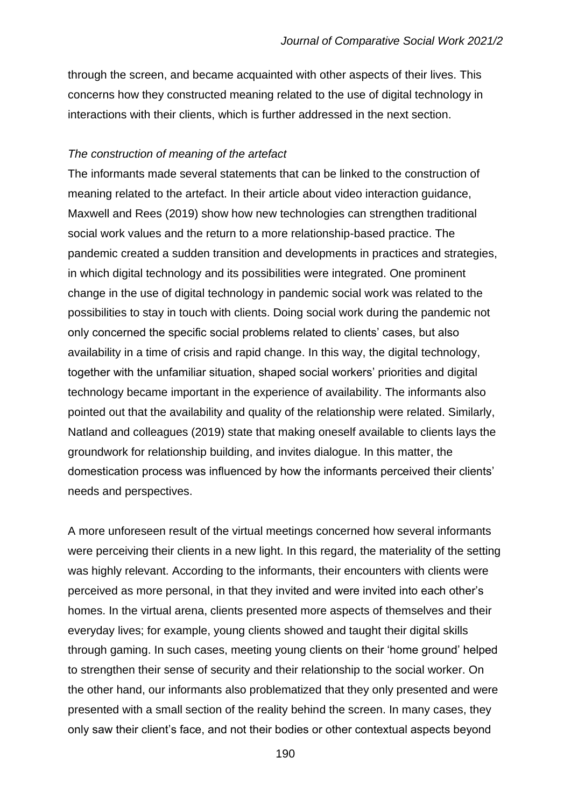through the screen, and became acquainted with other aspects of their lives. This concerns how they constructed meaning related to the use of digital technology in interactions with their clients, which is further addressed in the next section.

#### *The construction of meaning of the artefact*

The informants made several statements that can be linked to the construction of meaning related to the artefact. In their article about video interaction guidance, Maxwell and Rees (2019) show how new technologies can strengthen traditional social work values and the return to a more relationship-based practice. The pandemic created a sudden transition and developments in practices and strategies, in which digital technology and its possibilities were integrated. One prominent change in the use of digital technology in pandemic social work was related to the possibilities to stay in touch with clients. Doing social work during the pandemic not only concerned the specific social problems related to clients' cases, but also availability in a time of crisis and rapid change. In this way, the digital technology, together with the unfamiliar situation, shaped social workers' priorities and digital technology became important in the experience of availability. The informants also pointed out that the availability and quality of the relationship were related. Similarly, Natland and colleagues (2019) state that making oneself available to clients lays the groundwork for relationship building, and invites dialogue. In this matter, the domestication process was influenced by how the informants perceived their clients' needs and perspectives.

A more unforeseen result of the virtual meetings concerned how several informants were perceiving their clients in a new light. In this regard, the materiality of the setting was highly relevant. According to the informants, their encounters with clients were perceived as more personal, in that they invited and were invited into each other's homes. In the virtual arena, clients presented more aspects of themselves and their everyday lives; for example, young clients showed and taught their digital skills through gaming. In such cases, meeting young clients on their 'home ground' helped to strengthen their sense of security and their relationship to the social worker. On the other hand, our informants also problematized that they only presented and were presented with a small section of the reality behind the screen. In many cases, they only saw their client's face, and not their bodies or other contextual aspects beyond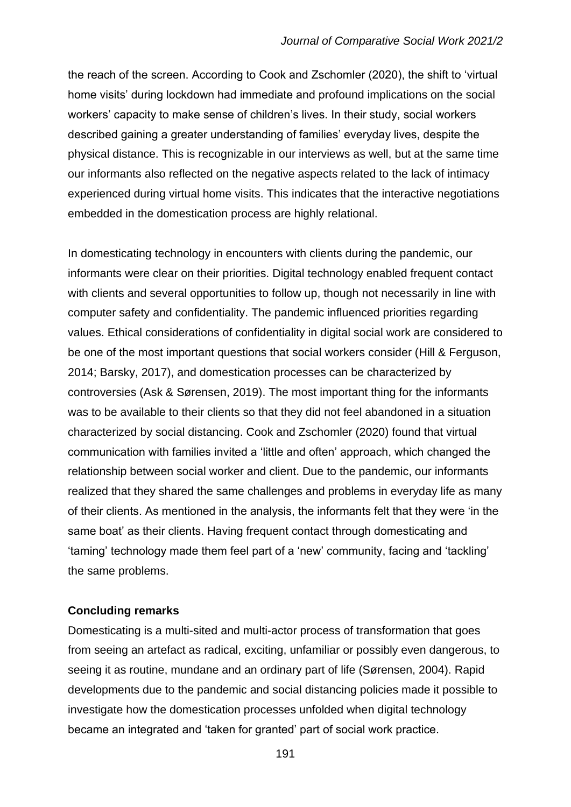the reach of the screen. According to Cook and Zschomler (2020), the shift to 'virtual home visits' during lockdown had immediate and profound implications on the social workers' capacity to make sense of children's lives. In their study, social workers described gaining a greater understanding of families' everyday lives, despite the physical distance. This is recognizable in our interviews as well, but at the same time our informants also reflected on the negative aspects related to the lack of intimacy experienced during virtual home visits. This indicates that the interactive negotiations embedded in the domestication process are highly relational.

In domesticating technology in encounters with clients during the pandemic, our informants were clear on their priorities. Digital technology enabled frequent contact with clients and several opportunities to follow up, though not necessarily in line with computer safety and confidentiality. The pandemic influenced priorities regarding values. Ethical considerations of confidentiality in digital social work are considered to be one of the most important questions that social workers consider (Hill & Ferguson, 2014; Barsky, 2017), and domestication processes can be characterized by controversies (Ask & Sørensen, 2019). The most important thing for the informants was to be available to their clients so that they did not feel abandoned in a situation characterized by social distancing. Cook and Zschomler (2020) found that virtual communication with families invited a 'little and often' approach, which changed the relationship between social worker and client. Due to the pandemic, our informants realized that they shared the same challenges and problems in everyday life as many of their clients. As mentioned in the analysis, the informants felt that they were 'in the same boat' as their clients. Having frequent contact through domesticating and 'taming' technology made them feel part of a 'new' community, facing and 'tackling' the same problems.

#### **Concluding remarks**

Domesticating is a multi-sited and multi-actor process of transformation that goes from seeing an artefact as radical, exciting, unfamiliar or possibly even dangerous, to seeing it as routine, mundane and an ordinary part of life (Sørensen, 2004). Rapid developments due to the pandemic and social distancing policies made it possible to investigate how the domestication processes unfolded when digital technology became an integrated and 'taken for granted' part of social work practice.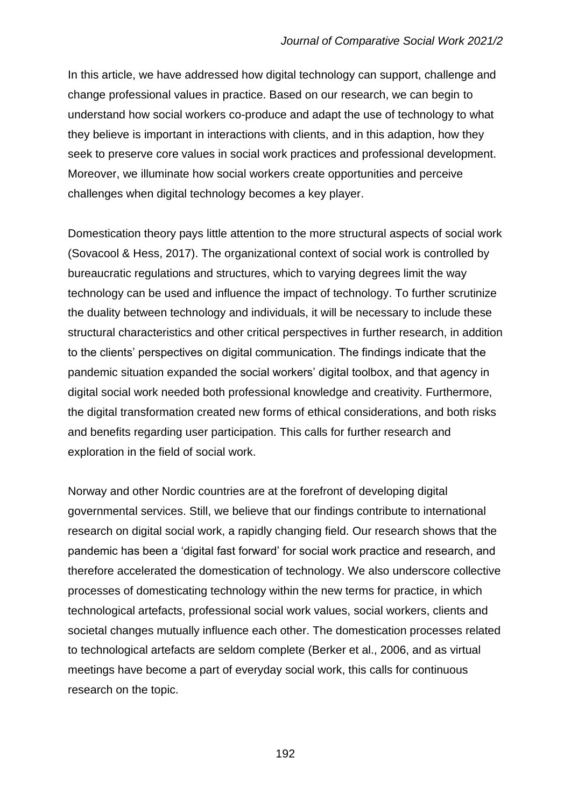In this article, we have addressed how digital technology can support, challenge and change professional values in practice. Based on our research, we can begin to understand how social workers co-produce and adapt the use of technology to what they believe is important in interactions with clients, and in this adaption, how they seek to preserve core values in social work practices and professional development. Moreover, we illuminate how social workers create opportunities and perceive challenges when digital technology becomes a key player.

Domestication theory pays little attention to the more structural aspects of social work (Sovacool & Hess, 2017). The organizational context of social work is controlled by bureaucratic regulations and structures, which to varying degrees limit the way technology can be used and influence the impact of technology. To further scrutinize the duality between technology and individuals, it will be necessary to include these structural characteristics and other critical perspectives in further research, in addition to the clients' perspectives on digital communication. The findings indicate that the pandemic situation expanded the social workers' digital toolbox, and that agency in digital social work needed both professional knowledge and creativity. Furthermore, the digital transformation created new forms of ethical considerations, and both risks and benefits regarding user participation. This calls for further research and exploration in the field of social work.

Norway and other Nordic countries are at the forefront of developing digital governmental services. Still, we believe that our findings contribute to international research on digital social work, a rapidly changing field. Our research shows that the pandemic has been a 'digital fast forward' for social work practice and research, and therefore accelerated the domestication of technology. We also underscore collective processes of domesticating technology within the new terms for practice, in which technological artefacts, professional social work values, social workers, clients and societal changes mutually influence each other. The domestication processes related to technological artefacts are seldom complete (Berker et al., 2006, and as virtual meetings have become a part of everyday social work, this calls for continuous research on the topic.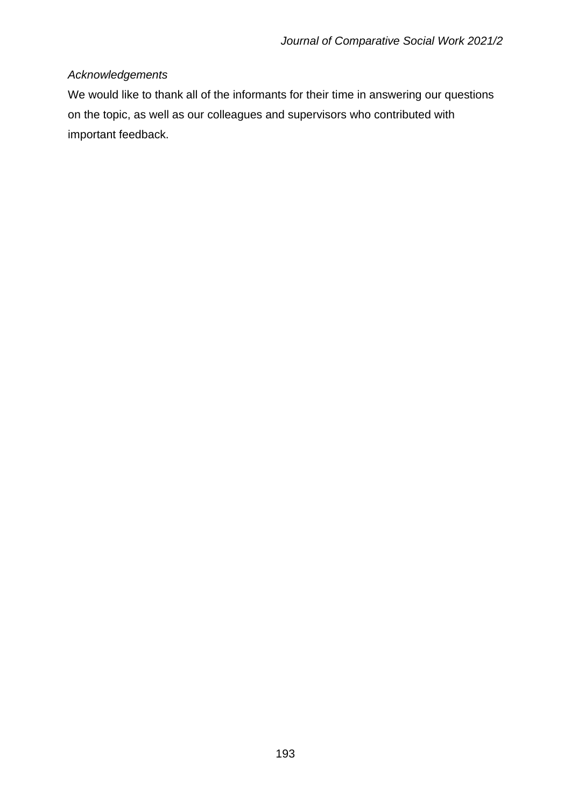# *Acknowledgements*

We would like to thank all of the informants for their time in answering our questions on the topic, as well as our colleagues and supervisors who contributed with important feedback.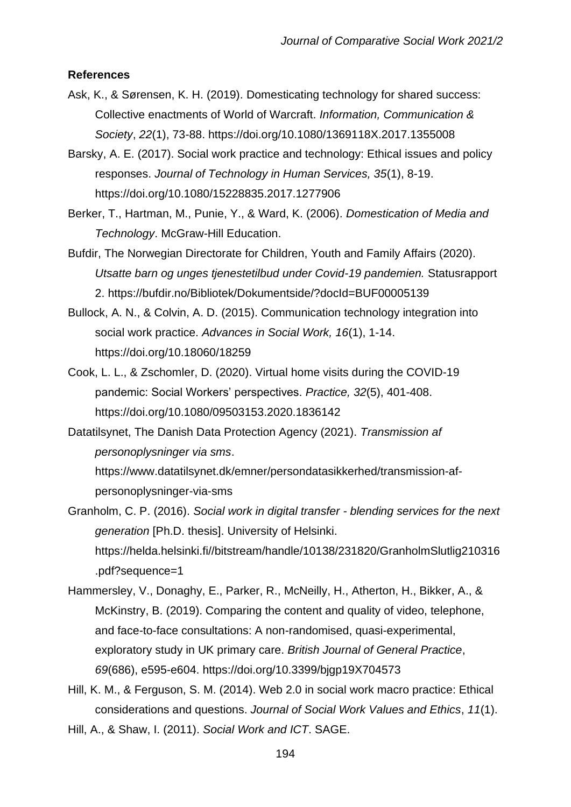#### **References**

- Ask, K., & Sørensen, K. H. (2019). Domesticating technology for shared success: Collective enactments of World of Warcraft. *Information, Communication & Society*, *22*(1), 73-88. https://doi.org/10.1080/1369118X.2017.1355008
- Barsky, A. E. (2017). Social work practice and technology: Ethical issues and policy responses. *Journal of Technology in Human Services, 35*(1), 8-19. https://doi.org/10.1080/15228835.2017.1277906
- Berker, T., Hartman, M., Punie, Y., & Ward, K. (2006). *Domestication of Media and Technology*. McGraw-Hill Education.
- Bufdir, The Norwegian Directorate for Children, Youth and Family Affairs (2020). *Utsatte barn og unges tjenestetilbud under Covid-19 pandemien.* Statusrapport 2. https://bufdir.no/Bibliotek/Dokumentside/?docId=BUF00005139
- Bullock, A. N., & Colvin, A. D. (2015). Communication technology integration into social work practice. *Advances in Social Work, 16*(1), 1-14. https://doi.org/10.18060/18259
- Cook, L. L., & Zschomler, D. (2020). Virtual home visits during the COVID-19 pandemic: Social Workers' perspectives. *Practice, 32*(5), 401-408. https://doi.org/10.1080/09503153.2020.1836142
- Datatilsynet, The Danish Data Protection Agency (2021). *Transmission af personoplysninger via sms*.

https://www.datatilsynet.dk/emner/persondatasikkerhed/transmission-afpersonoplysninger-via-sms

- Granholm, C. P. (2016). *Social work in digital transfer - blending services for the next generation* [Ph.D. thesis]. University of Helsinki. https://helda.helsinki.fi//bitstream/handle/10138/231820/GranholmSlutlig210316 .pdf?sequence=1
- Hammersley, V., Donaghy, E., Parker, R., McNeilly, H., Atherton, H., Bikker, A., & McKinstry, B. (2019). Comparing the content and quality of video, telephone, and face-to-face consultations: A non-randomised, quasi-experimental, exploratory study in UK primary care. *British Journal of General Practice*, *69*(686), e595-e604. https://doi.org/10.3399/bjgp19X704573
- Hill, K. M., & Ferguson, S. M. (2014). Web 2.0 in social work macro practice: Ethical considerations and questions. *Journal of Social Work Values and Ethics*, *11*(1).

Hill, A., & Shaw, I. (2011). *Social Work and ICT*. SAGE.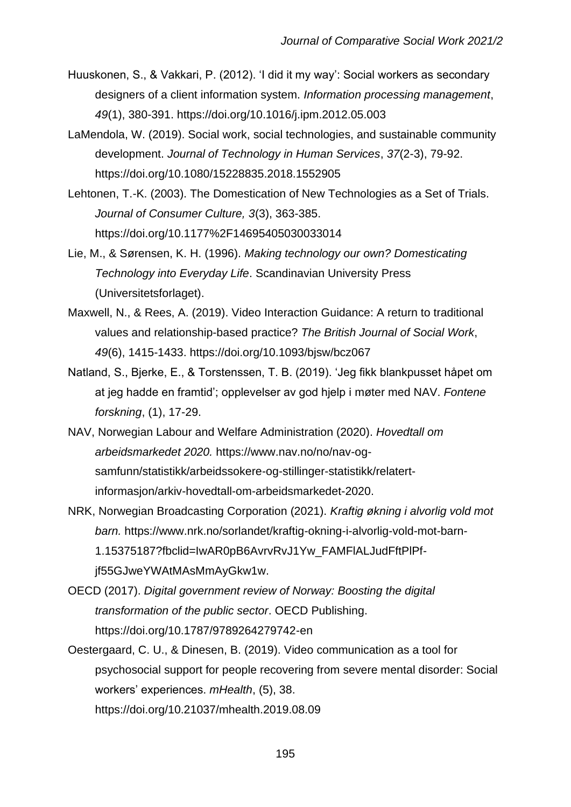- Huuskonen, S., & Vakkari, P. (2012). 'I did it my way': Social workers as secondary designers of a client information system. *Information processing management*, *49*(1), 380-391. https://doi.org/10.1016/j.ipm.2012.05.003
- LaMendola, W. (2019). Social work, social technologies, and sustainable community development. *Journal of Technology in Human Services*, *37*(2-3), 79-92. https://doi.org/10.1080/15228835.2018.1552905
- Lehtonen, T.-K. (2003). The Domestication of New Technologies as a Set of Trials. *Journal of Consumer Culture, 3*(3), 363-385. https://doi.org/10.1177%2F14695405030033014
- Lie, M., & Sørensen, K. H. (1996). *Making technology our own? Domesticating Technology into Everyday Life*. Scandinavian University Press (Universitetsforlaget).
- Maxwell, N., & Rees, A. (2019). Video Interaction Guidance: A return to traditional values and relationship-based practice? *The British Journal of Social Work*, *49*(6), 1415-1433. https://doi.org/10.1093/bjsw/bcz067
- Natland, S., Bjerke, E., & Torstenssen, T. B. (2019). 'Jeg fikk blankpusset håpet om at jeg hadde en framtid'; opplevelser av god hjelp i møter med NAV. *Fontene forskning*, (1), 17-29.
- NAV, Norwegian Labour and Welfare Administration (2020). *Hovedtall om arbeidsmarkedet 2020.* https://www.nav.no/no/nav-ogsamfunn/statistikk/arbeidssokere-og-stillinger-statistikk/relatertinformasjon/arkiv-hovedtall-om-arbeidsmarkedet-2020.
- NRK, Norwegian Broadcasting Corporation (2021). *Kraftig økning i alvorlig vold mot barn.* https://www.nrk.no/sorlandet/kraftig-okning-i-alvorlig-vold-mot-barn-1.15375187?fbclid=IwAR0pB6AvrvRvJ1Yw\_FAMFlALJudFftPlPfjf55GJweYWAtMAsMmAyGkw1w.
- OECD (2017). *Digital government review of Norway: Boosting the digital transformation of the public sector*. OECD Publishing. https://doi.org/10.1787/9789264279742-en
- Oestergaard, C. U., & Dinesen, B. (2019). Video communication as a tool for psychosocial support for people recovering from severe mental disorder: Social workers' experiences. *mHealth*, (5), 38. https://doi.org/10.21037/mhealth.2019.08.09